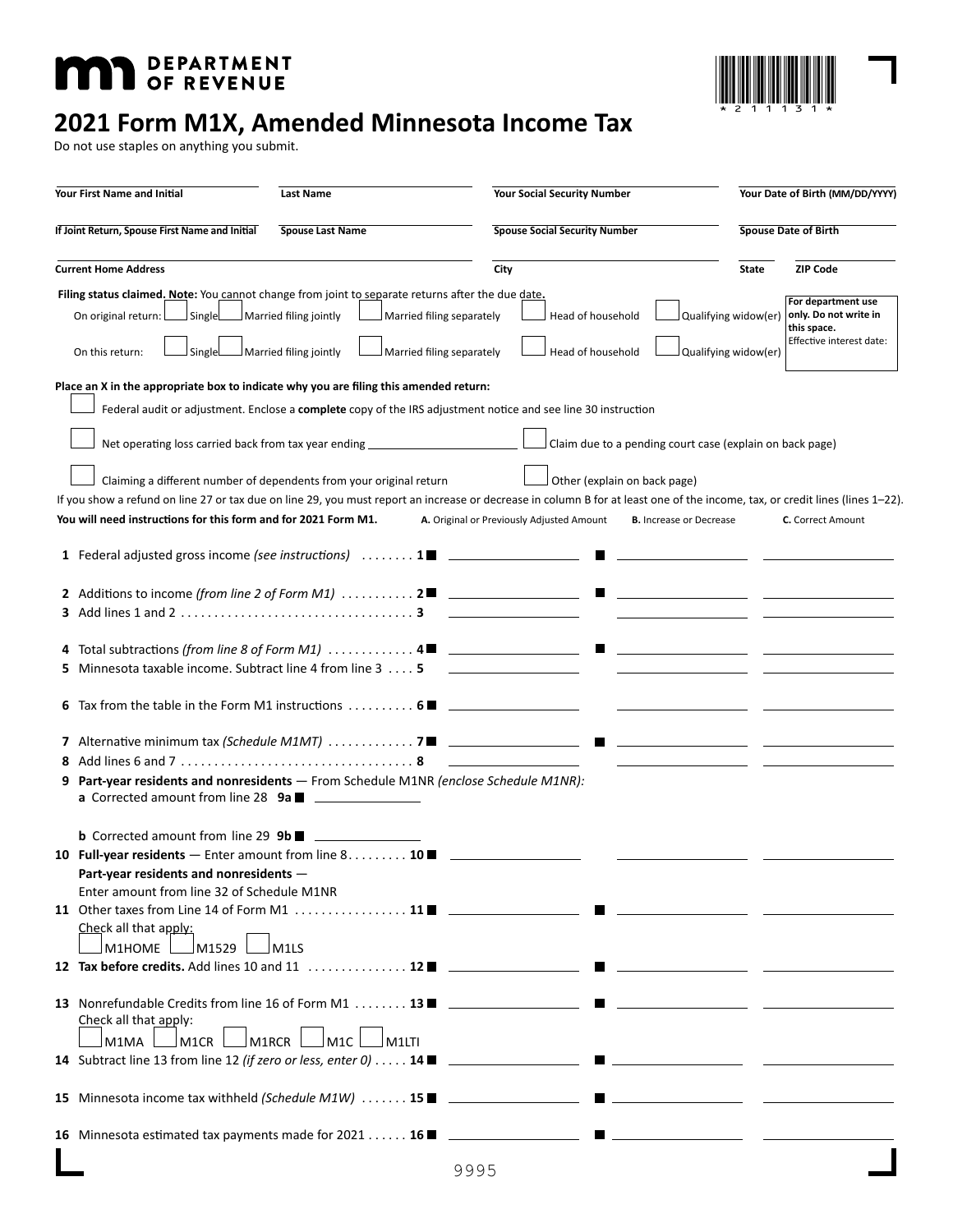# **MID** DEPARTMENT



# **2021 Form M1X, Amended Minnesota Income Tax**

Do not use staples on anything you submit.

| <b>Your First Name and Initial</b><br>Last Name                                                                                                                                                                                                                                                                                                                                                                                                                                                                                                                                                                      | <b>Your Social Security Number</b>                                                                                                                                      | Your Date of Birth (MM/DD/YYYY)                                                                                                        |
|----------------------------------------------------------------------------------------------------------------------------------------------------------------------------------------------------------------------------------------------------------------------------------------------------------------------------------------------------------------------------------------------------------------------------------------------------------------------------------------------------------------------------------------------------------------------------------------------------------------------|-------------------------------------------------------------------------------------------------------------------------------------------------------------------------|----------------------------------------------------------------------------------------------------------------------------------------|
| If Joint Return, Spouse First Name and Initial<br><b>Spouse Last Name</b>                                                                                                                                                                                                                                                                                                                                                                                                                                                                                                                                            | <b>Spouse Social Security Number</b>                                                                                                                                    | <b>Spouse Date of Birth</b>                                                                                                            |
| <b>Current Home Address</b>                                                                                                                                                                                                                                                                                                                                                                                                                                                                                                                                                                                          | City                                                                                                                                                                    | <b>ZIP Code</b><br>State                                                                                                               |
| Filing status claimed. Note: You cannot change from joint to separate returns after the due date.<br>Married filing jointly<br>On original return: L<br>l SingleL<br>Married filing jointly<br>On this return:<br>Single                                                                                                                                                                                                                                                                                                                                                                                             | Married filing separately<br>Head of household<br>Married filing separately<br>Head of household                                                                        | For department use<br>only. Do not write in<br>Qualifying widow(er)<br>this space.<br>Effective interest date:<br>Qualifying widow(er) |
| Place an X in the appropriate box to indicate why you are filing this amended return:<br>Federal audit or adjustment. Enclose a complete copy of the IRS adjustment notice and see line 30 instruction<br>Net operating loss carried back from tax year ending ___________________________<br>Claiming a different number of dependents from your original return<br>If you show a refund on line 27 or tax due on line 29, you must report an increase or decrease in column B for at least one of the income, tax, or credit lines (lines 1-22).<br>You will need instructions for this form and for 2021 Form M1. | Claim due to a pending court case (explain on back page)<br>Other (explain on back page)<br>A. Original or Previously Adjusted Amount<br><b>B.</b> Increase or Decrease | <b>C.</b> Correct Amount                                                                                                               |
| 5 Minnesota taxable income. Subtract line 4 from line 3 5 _______________                                                                                                                                                                                                                                                                                                                                                                                                                                                                                                                                            |                                                                                                                                                                         |                                                                                                                                        |
| 6 Tax from the table in the Form M1 instructions $\dots \dots \dots 6$ $\blacksquare$<br>9 Part-year residents and nonresidents - From Schedule M1NR (enclose Schedule M1NR):                                                                                                                                                                                                                                                                                                                                                                                                                                        |                                                                                                                                                                         |                                                                                                                                        |
| <b>b</b> Corrected amount from line 29 9b<br>10 Full-year residents — Enter amount from line 8 10 <b>E</b><br>Part-vear residents and nonresidents -<br>Enter amount from line 32 of Schedule M1NR<br>Check all that apply:<br>M1HOME $\Box$ M1529<br>JM1LS                                                                                                                                                                                                                                                                                                                                                          |                                                                                                                                                                         |                                                                                                                                        |
| 13 Nonrefundable Credits from line 16 of Form M1  13   _________________<br>Check all that apply:<br>Jm1CR l<br>M1MA<br>$\lrcorner$ M1RCR<br>lm1c l<br>$\Box$ M1LTI                                                                                                                                                                                                                                                                                                                                                                                                                                                  | H                                                                                                                                                                       |                                                                                                                                        |
| 15 Minnesota income tax withheld (Schedule M1W)  15 <b>Name 2018</b>                                                                                                                                                                                                                                                                                                                                                                                                                                                                                                                                                 | the contract of the contract of the contract of the contract of                                                                                                         |                                                                                                                                        |
| <b>16</b> Minnesota estimated tax payments made for $2021$ <b>16</b> $\blacksquare$                                                                                                                                                                                                                                                                                                                                                                                                                                                                                                                                  | the contract of the contract of the contract of the<br>9995                                                                                                             |                                                                                                                                        |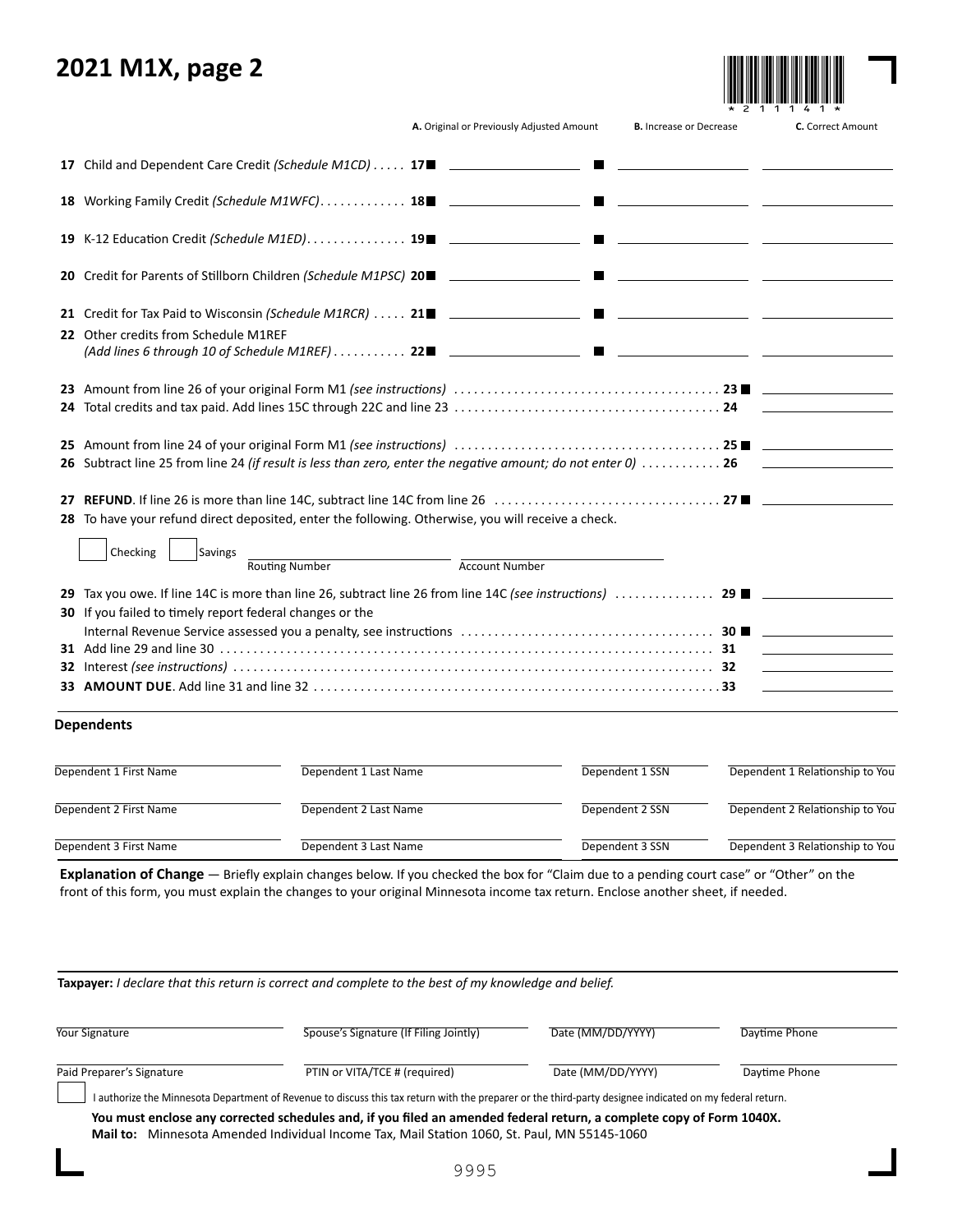# **2021 M1X, page 2**



|  | A. Original or Previously Adjusted Amount |  |  |
|--|-------------------------------------------|--|--|
|  |                                           |  |  |

|                                                                                                                                                                                                                                            |                       | A. Original or Previously Adjusted Amount | <b>B.</b> Increase or Decrease | C. Correct Amount                                                                                                      |
|--------------------------------------------------------------------------------------------------------------------------------------------------------------------------------------------------------------------------------------------|-----------------------|-------------------------------------------|--------------------------------|------------------------------------------------------------------------------------------------------------------------|
|                                                                                                                                                                                                                                            |                       |                                           |                                |                                                                                                                        |
| 18 Working Family Credit (Schedule M1WFC) 18 ______________________                                                                                                                                                                        |                       |                                           |                                | the contract of the contract of the contract of the contract of the contract of                                        |
|                                                                                                                                                                                                                                            |                       |                                           |                                |                                                                                                                        |
|                                                                                                                                                                                                                                            |                       |                                           |                                |                                                                                                                        |
| 22 Other credits from Schedule M1REF                                                                                                                                                                                                       |                       |                                           |                                |                                                                                                                        |
|                                                                                                                                                                                                                                            |                       |                                           |                                |                                                                                                                        |
|                                                                                                                                                                                                                                            |                       |                                           |                                |                                                                                                                        |
| 26 Subtract line 25 from line 24 (if result is less than zero, enter the negative amount; do not enter 0)  26<br>28 To have your refund direct deposited, enter the following. Otherwise, you will receive a check.<br>Checking<br>Savings | <b>Routing Number</b> | <b>Account Number</b>                     |                                |                                                                                                                        |
| 30 If you failed to timely report federal changes or the                                                                                                                                                                                   |                       |                                           |                                | <u> 1989 - John Harry Barn, mars and de la partie de la partie de la partie de la partie de la partie de la partie</u> |
| <b>Dependents</b>                                                                                                                                                                                                                          |                       |                                           |                                |                                                                                                                        |
| Dependent 1 First Name                                                                                                                                                                                                                     | Dependent 1 Last Name |                                           | Dependent 1 SSN                | Dependent 1 Relationship to You                                                                                        |
| Dependent 2 First Name                                                                                                                                                                                                                     | Dependent 2 Last Name |                                           | Dependent 2 SSN                | Dependent 2 Relationship to You                                                                                        |
| Dependent 3 First Name                                                                                                                                                                                                                     | Dependent 3 Last Name |                                           | Dependent 3 SSN                | Dependent 3 Relationship to You                                                                                        |

**Explanation of Change** — Briefly explain changes below. If you checked the box for "Claim due to a pending court case" or "Other" on the front of this form, you must explain the changes to your original Minnesota income tax return. Enclose another sheet, if needed.

**Taxpayer:** *I declare that this return is correct and complete to the best of my knowledge and belief.*

| Your Signature            | Spouse's Signature (If Filing Jointly)                                                                                                                                                                               | Date (MM/DD/YYYY) | Davtime Phone |
|---------------------------|----------------------------------------------------------------------------------------------------------------------------------------------------------------------------------------------------------------------|-------------------|---------------|
| Paid Preparer's Signature | PTIN or VITA/TCE # (required)                                                                                                                                                                                        | Date (MM/DD/YYYY) | Daytime Phone |
|                           | I authorize the Minnesota Department of Revenue to discuss this tax return with the preparer or the third-party designee indicated on my federal return.                                                             |                   |               |
|                           | You must enclose any corrected schedules and, if you filed an amended federal return, a complete copy of Form 1040X.<br>Mail to: Minnesota Amended Individual Income Tax, Mail Station 1060, St. Paul, MN 55145-1060 |                   |               |
|                           |                                                                                                                                                                                                                      |                   |               |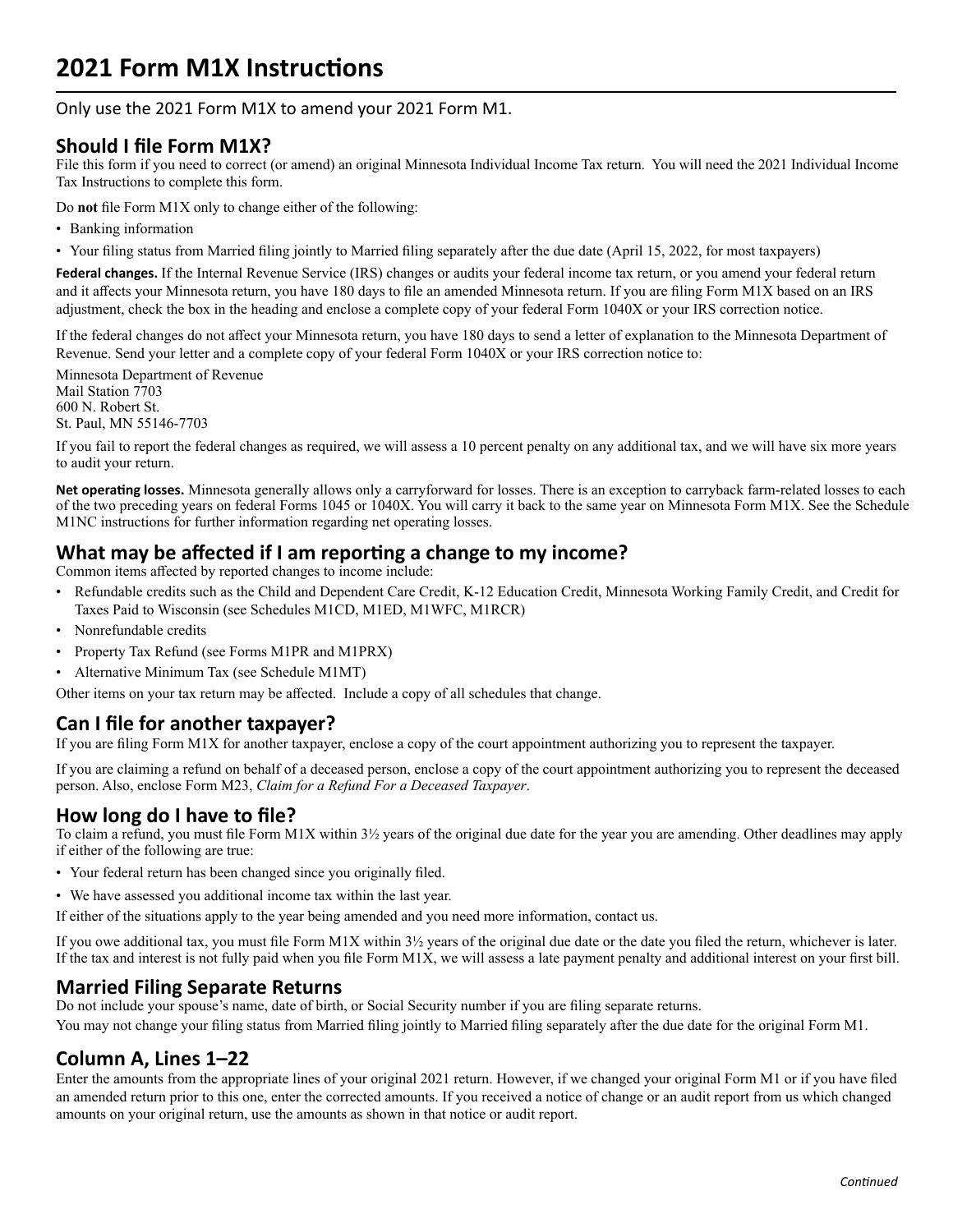# **2021 Form M1X Instructions**

Only use the 2021 Form M1X to amend your 2021 Form M1.

# **Should I file Form M1X?**

 File this form if you need to correct (or amend) an original Minnesota Individual Income Tax return. You will need the 2021 Individual Income Tax Instructions to complete this form.

Do **not** file Form M1X only to change either of the following:

- Banking information
- Your filing status from Married filing jointly to Married filing separately after the due date (April 15, 2022, for most taxpayers)

**Federal changes.** If the Internal Revenue Service (IRS) changes or audits your federal income tax return, or you amend your federal return and it affects your Minnesota return, you have 180 days to file an amended Minnesota return. If you are filing Form M1X based on an IRS adjustment, check the box in the heading and enclose a complete copy of your federal Form 1040X or your IRS correction notice.

If the federal changes do not affect your Minnesota return, you have 180 days to send a letter of explanation to the Minnesota Department of Revenue. Send your letter and a complete copy of your federal Form 1040X or your IRS correction notice to:

Minnesota Department of Revenue Mail Station 7703 600 N. Robert St. St. Paul, MN 55146-7703

If you fail to report the federal changes as required, we will assess a 10 percent penalty on any additional tax, and we will have six more years to audit your return.

**Net operating losses.** Minnesota generally allows only a carryforward for losses. There is an exception to carryback farm-related losses to each of the two preceding years on federal Forms 1045 or 1040X. You will carry it back to the same year on Minnesota Form M1X. See the Schedule M1NC instructions for further information regarding net operating losses.

# **What may be affected if I am reporting a change to my income?**

Common items affected by reported changes to income include:

- Refundable credits such as the Child and Dependent Care Credit, K-12 Education Credit, Minnesota Working Family Credit, and Credit for Taxes Paid to Wisconsin (see Schedules M1CD, M1ED, M1WFC, M1RCR)
- Nonrefundable credits
- Property Tax Refund (see Forms M1PR and M1PRX)
- Alternative Minimum Tax (see Schedule M1MT)

Other items on your tax return may be affected. Include a copy of all schedules that change.

# **Can I file for another taxpayer?**

If you are filing Form M1X for another taxpayer, enclose a copy of the court appointment authorizing you to represent the taxpayer.

If you are claiming a refund on behalf of a deceased person, enclose a copy of the court appointment authorizing you to represent the deceased person. Also, enclose Form M23, *Claim for a Refund For a Deceased Taxpayer*.

# **How long do I have to file?**

To claim a refund, you must file Form M1X within 3½ years of the original due date for the year you are amending. Other deadlines may apply if either of the following are true:

- Your federal return has been changed since you originally filed.
- We have assessed you additional income tax within the last year.
- If either of the situations apply to the year being amended and you need more information, contact us.

If you owe additional tax, you must file Form M1X within 3½ years of the original due date or the date you filed the return, whichever is later. If the tax and interest is not fully paid when you file Form M1X, we will assess a late payment penalty and additional interest on your first bill.

# **Married Filing Separate Returns**

Do not include your spouse's name, date of birth, or Social Security number if you are filing separate returns. You may not change your filing status from Married filing jointly to Married filing separately after the due date for the original Form M1.

# **Column A, Lines 1–22**

Enter the amounts from the appropriate lines of your original 2021 return. However, if we changed your original Form M1 or if you have filed an amended return prior to this one, enter the corrected amounts. If you received a notice of change or an audit report from us which changed amounts on your original return, use the amounts as shown in that notice or audit report.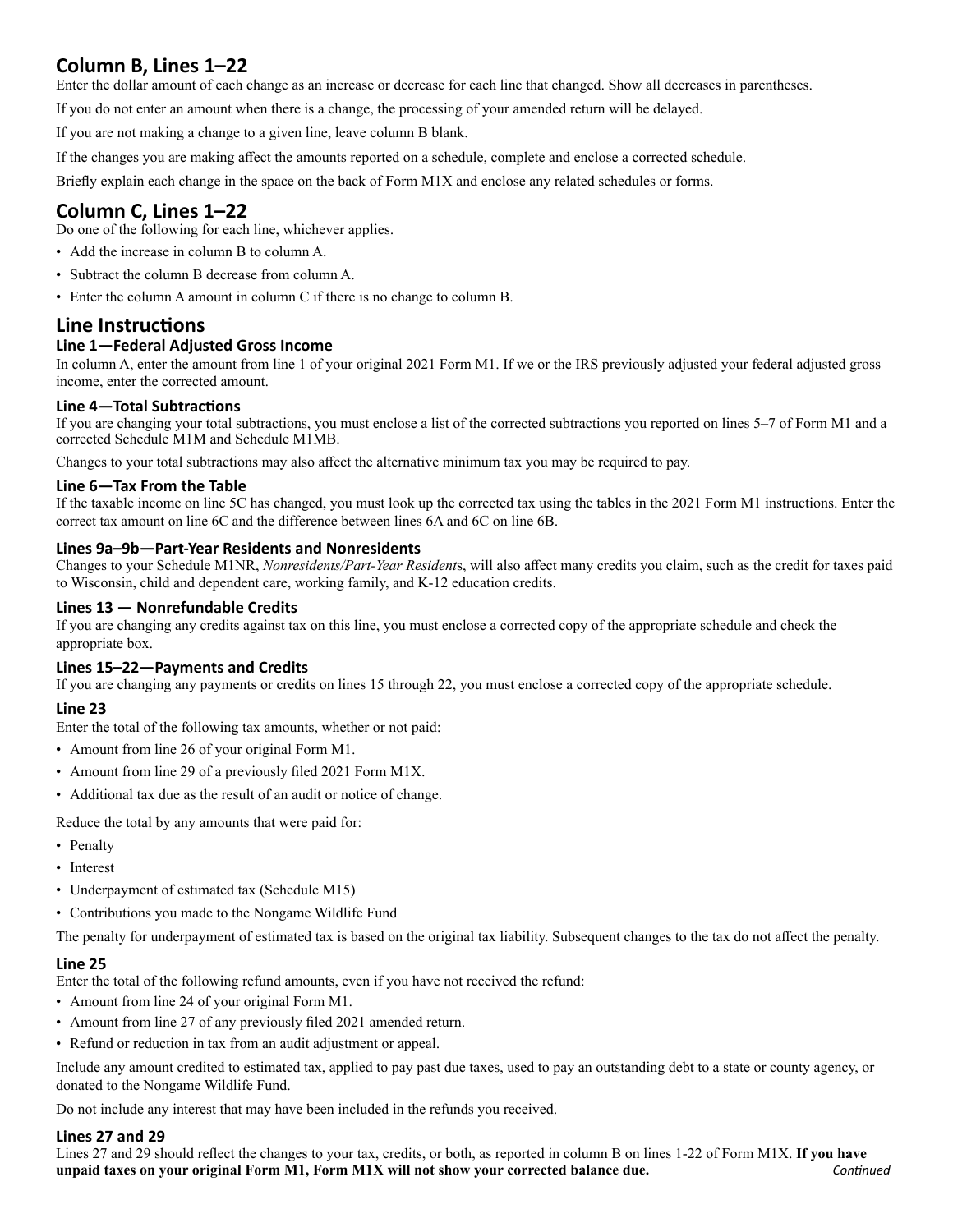# **Column B, Lines 1–22**

Enter the dollar amount of each change as an increase or decrease for each line that changed. Show all decreases in parentheses.

If you do not enter an amount when there is a change, the processing of your amended return will be delayed.

If you are not making a change to a given line, leave column B blank.

If the changes you are making affect the amounts reported on a schedule, complete and enclose a corrected schedule.

Briefly explain each change in the space on the back of Form M1X and enclose any related schedules or forms.

# **Column C, Lines 1–22**

Do one of the following for each line, whichever applies.

- Add the increase in column B to column A.
- Subtract the column B decrease from column A.
- Enter the column A amount in column C if there is no change to column B.

# **Line Instructions**

#### **Line 1—Federal Adjusted Gross Income**

In column A, enter the amount from line 1 of your original 2021 Form M1. If we or the IRS previously adjusted your federal adjusted gross income, enter the corrected amount.

#### **Line 4—Total Subtractions**

If you are changing your total subtractions, you must enclose a list of the corrected subtractions you reported on lines 5–7 of Form M1 and a corrected Schedule M1M and Schedule M1MB.

Changes to your total subtractions may also affect the alternative minimum tax you may be required to pay.

#### **Line 6—Tax From the Table**

If the taxable income on line 5C has changed, you must look up the corrected tax using the tables in the 2021 Form M1 instructions. Enter the correct tax amount on line 6C and the difference between lines 6A and 6C on line 6B.

#### **Lines 9a–9b—Part-Year Residents and Nonresidents**

Changes to your Schedule M1NR, *Nonresidents/Part-Year Resident*s, will also affect many credits you claim, such as the credit for taxes paid to Wisconsin, child and dependent care, working family, and K-12 education credits.

#### **Lines 13 — Nonrefundable Credits**

If you are changing any credits against tax on this line, you must enclose a corrected copy of the appropriate schedule and check the appropriate box.

#### **Lines 15–22—Payments and Credits**

If you are changing any payments or credits on lines 15 through 22, you must enclose a corrected copy of the appropriate schedule.

#### **Line 23**

Enter the total of the following tax amounts, whether or not paid:

- Amount from line 26 of your original Form M1.
- Amount from line 29 of a previously filed 2021 Form M1X.
- Additional tax due as the result of an audit or notice of change.

Reduce the total by any amounts that were paid for:

- Penalty
- Interest
- Underpayment of estimated tax (Schedule M15)
- Contributions you made to the Nongame Wildlife Fund

The penalty for underpayment of estimated tax is based on the original tax liability. Subsequent changes to the tax do not affect the penalty.

#### **Line 25**

Enter the total of the following refund amounts, even if you have not received the refund:

- Amount from line 24 of your original Form M1.
- Amount from line 27 of any previously filed 2021 amended return.
- Refund or reduction in tax from an audit adjustment or appeal.

Include any amount credited to estimated tax, applied to pay past due taxes, used to pay an outstanding debt to a state or county agency, or donated to the Nongame Wildlife Fund.

Do not include any interest that may have been included in the refunds you received.

#### **Lines 27 and 29**

Lines 27 and 29 should reflect the changes to your tax, credits, or both, as reported in column B on lines 1-22 of Form M1X. **If you have unpaid taxes on your original Form M1, Form M1X will not show your corrected balance due.** *Continued*